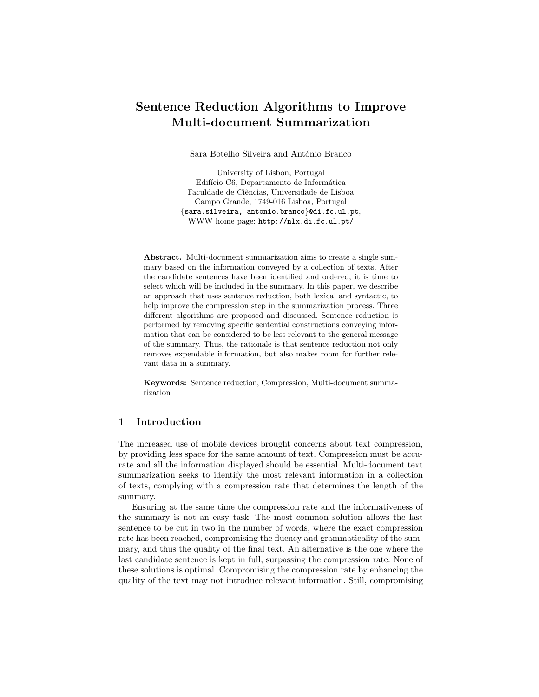# Sentence Reduction Algorithms to Improve Multi-document Summarization

Sara Botelho Silveira and António Branco

University of Lisbon, Portugal Edifício C6, Departamento de Informática Faculdade de Ciências, Universidade de Lisboa Campo Grande, 1749-016 Lisboa, Portugal {sara.silveira, antonio.branco}@di.fc.ul.pt, WWW home page: http://nlx.di.fc.ul.pt/

Abstract. Multi-document summarization aims to create a single summary based on the information conveyed by a collection of texts. After the candidate sentences have been identified and ordered, it is time to select which will be included in the summary. In this paper, we describe an approach that uses sentence reduction, both lexical and syntactic, to help improve the compression step in the summarization process. Three different algorithms are proposed and discussed. Sentence reduction is performed by removing specific sentential constructions conveying information that can be considered to be less relevant to the general message of the summary. Thus, the rationale is that sentence reduction not only removes expendable information, but also makes room for further relevant data in a summary.

Keywords: Sentence reduction, Compression, Multi-document summarization

# 1 Introduction

The increased use of mobile devices brought concerns about text compression, by providing less space for the same amount of text. Compression must be accurate and all the information displayed should be essential. Multi-document text summarization seeks to identify the most relevant information in a collection of texts, complying with a compression rate that determines the length of the summary.

Ensuring at the same time the compression rate and the informativeness of the summary is not an easy task. The most common solution allows the last sentence to be cut in two in the number of words, where the exact compression rate has been reached, compromising the fluency and grammaticality of the summary, and thus the quality of the final text. An alternative is the one where the last candidate sentence is kept in full, surpassing the compression rate. None of these solutions is optimal. Compromising the compression rate by enhancing the quality of the text may not introduce relevant information. Still, compromising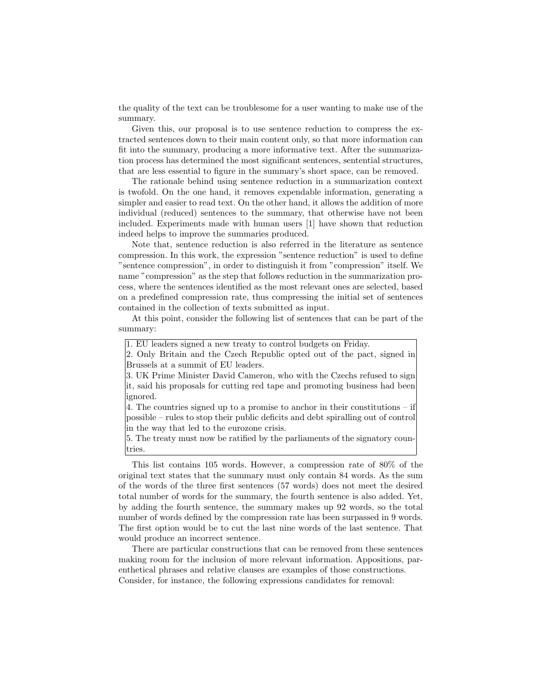the quality of the text can be troublesome for a user wanting to make use of the summary.

Given this, our proposal is to use sentence reduction to compress the extracted sentences down to their main content only, so that more information can fit into the summary, producing a more informative text. After the summarization process has determined the most significant sentences, sentential structures, that are less essential to figure in the summary's short space, can be removed.

The rationale behind using sentence reduction in a summarization context is twofold. On the one hand, it removes expendable information, generating a simpler and easier to read text. On the other hand, it allows the addition of more individual (reduced) sentences to the summary, that otherwise have not been included. Experiments made with human users [1] have shown that reduction indeed helps to improve the summaries produced.

Note that, sentence reduction is also referred in the literature as sentence compression. In this work, the expression "sentence reduction" is used to define "sentence compression", in order to distinguish it from "compression" itself. We name "compression" as the step that follows reduction in the summarization process, where the sentences identified as the most relevant ones are selected, based on a predefined compression rate, thus compressing the initial set of sentences contained in the collection of texts submitted as input.

At this point, consider the following list of sentences that can be part of the summary:

1. EU leaders signed a new treaty to control budgets on Friday.

2. Only Britain and the Czech Republic opted out of the pact, signed in Brussels at a summit of EU leaders.

3. UK Prime Minister David Cameron, who with the Czechs refused to sign it, said his proposals for cutting red tape and promoting business had been ignored.

4. The countries signed up to a promise to anchor in their constitutions – if possible – rules to stop their public deficits and debt spiralling out of control in the way that led to the eurozone crisis.

5. The treaty must now be ratified by the parliaments of the signatory countries.

This list contains 105 words. However, a compression rate of 80% of the original text states that the summary must only contain 84 words. As the sum of the words of the three first sentences (57 words) does not meet the desired total number of words for the summary, the fourth sentence is also added. Yet, by adding the fourth sentence, the summary makes up 92 words, so the total number of words defined by the compression rate has been surpassed in 9 words. The first option would be to cut the last nine words of the last sentence. That would produce an incorrect sentence.

There are particular constructions that can be removed from these sentences making room for the inclusion of more relevant information. Appositions, parenthetical phrases and relative clauses are examples of those constructions. Consider, for instance, the following expressions candidates for removal: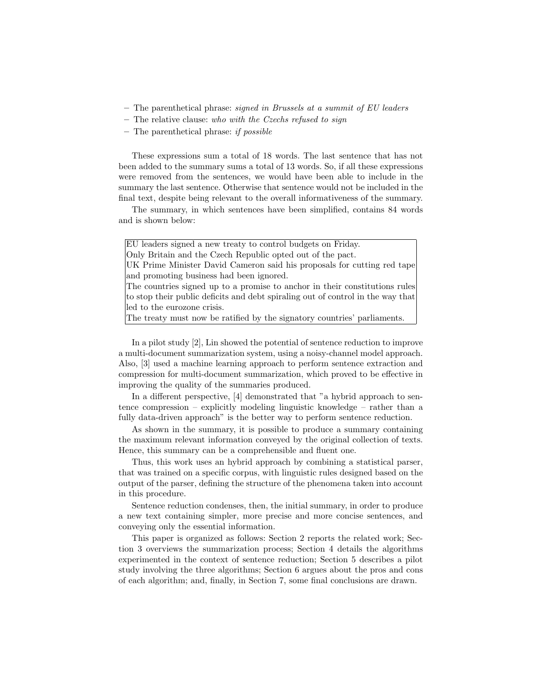- $-$  The parenthetical phrase: signed in Brussels at a summit of EU leaders
- $-$  The relative clause: who with the Czechs refused to sign
- The parenthetical phrase: if possible

These expressions sum a total of 18 words. The last sentence that has not been added to the summary sums a total of 13 words. So, if all these expressions were removed from the sentences, we would have been able to include in the summary the last sentence. Otherwise that sentence would not be included in the final text, despite being relevant to the overall informativeness of the summary.

The summary, in which sentences have been simplified, contains 84 words and is shown below:

EU leaders signed a new treaty to control budgets on Friday. Only Britain and the Czech Republic opted out of the pact. UK Prime Minister David Cameron said his proposals for cutting red tape and promoting business had been ignored. The countries signed up to a promise to anchor in their constitutions rules to stop their public deficits and debt spiraling out of control in the way that led to the eurozone crisis. The treaty must now be ratified by the signatory countries' parliaments.

In a pilot study [2], Lin showed the potential of sentence reduction to improve a multi-document summarization system, using a noisy-channel model approach. Also, [3] used a machine learning approach to perform sentence extraction and compression for multi-document summarization, which proved to be effective in improving the quality of the summaries produced.

In a different perspective, [4] demonstrated that "a hybrid approach to sentence compression – explicitly modeling linguistic knowledge – rather than a fully data-driven approach" is the better way to perform sentence reduction.

As shown in the summary, it is possible to produce a summary containing the maximum relevant information conveyed by the original collection of texts. Hence, this summary can be a comprehensible and fluent one.

Thus, this work uses an hybrid approach by combining a statistical parser, that was trained on a specific corpus, with linguistic rules designed based on the output of the parser, defining the structure of the phenomena taken into account in this procedure.

Sentence reduction condenses, then, the initial summary, in order to produce a new text containing simpler, more precise and more concise sentences, and conveying only the essential information.

This paper is organized as follows: Section 2 reports the related work; Section 3 overviews the summarization process; Section 4 details the algorithms experimented in the context of sentence reduction; Section 5 describes a pilot study involving the three algorithms; Section 6 argues about the pros and cons of each algorithm; and, finally, in Section 7, some final conclusions are drawn.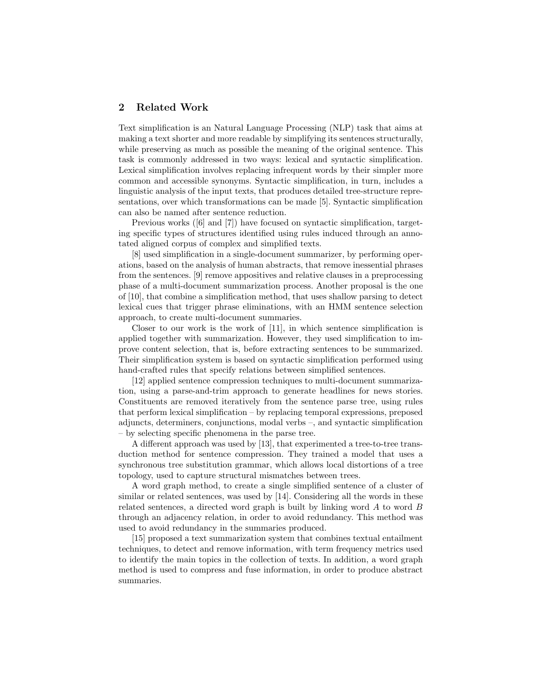# 2 Related Work

Text simplification is an Natural Language Processing (NLP) task that aims at making a text shorter and more readable by simplifying its sentences structurally, while preserving as much as possible the meaning of the original sentence. This task is commonly addressed in two ways: lexical and syntactic simplification. Lexical simplification involves replacing infrequent words by their simpler more common and accessible synonyms. Syntactic simplification, in turn, includes a linguistic analysis of the input texts, that produces detailed tree-structure representations, over which transformations can be made [5]. Syntactic simplification can also be named after sentence reduction.

Previous works ([6] and [7]) have focused on syntactic simplification, targeting specific types of structures identified using rules induced through an annotated aligned corpus of complex and simplified texts.

[8] used simplification in a single-document summarizer, by performing operations, based on the analysis of human abstracts, that remove inessential phrases from the sentences. [9] remove appositives and relative clauses in a preprocessing phase of a multi-document summarization process. Another proposal is the one of [10], that combine a simplification method, that uses shallow parsing to detect lexical cues that trigger phrase eliminations, with an HMM sentence selection approach, to create multi-document summaries.

Closer to our work is the work of [11], in which sentence simplification is applied together with summarization. However, they used simplification to improve content selection, that is, before extracting sentences to be summarized. Their simplification system is based on syntactic simplification performed using hand-crafted rules that specify relations between simplified sentences.

[12] applied sentence compression techniques to multi-document summarization, using a parse-and-trim approach to generate headlines for news stories. Constituents are removed iteratively from the sentence parse tree, using rules that perform lexical simplification – by replacing temporal expressions, preposed adjuncts, determiners, conjunctions, modal verbs –, and syntactic simplification – by selecting specific phenomena in the parse tree.

A different approach was used by [13], that experimented a tree-to-tree transduction method for sentence compression. They trained a model that uses a synchronous tree substitution grammar, which allows local distortions of a tree topology, used to capture structural mismatches between trees.

A word graph method, to create a single simplified sentence of a cluster of similar or related sentences, was used by [14]. Considering all the words in these related sentences, a directed word graph is built by linking word A to word B through an adjacency relation, in order to avoid redundancy. This method was used to avoid redundancy in the summaries produced.

[15] proposed a text summarization system that combines textual entailment techniques, to detect and remove information, with term frequency metrics used to identify the main topics in the collection of texts. In addition, a word graph method is used to compress and fuse information, in order to produce abstract summaries.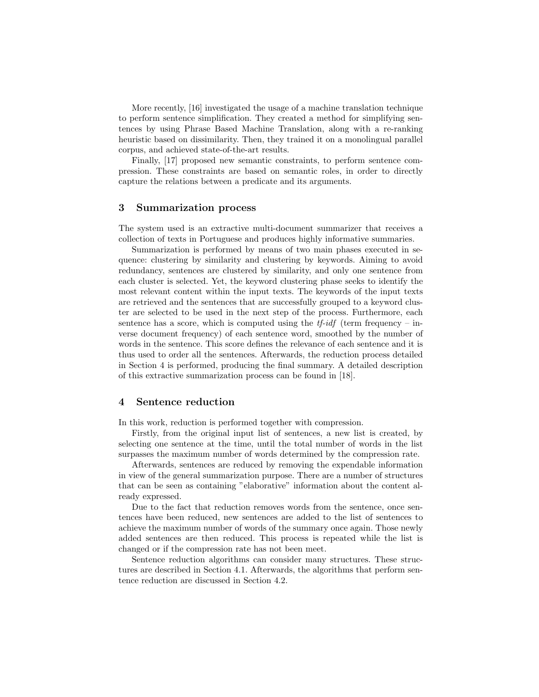More recently, [16] investigated the usage of a machine translation technique to perform sentence simplification. They created a method for simplifying sentences by using Phrase Based Machine Translation, along with a re-ranking heuristic based on dissimilarity. Then, they trained it on a monolingual parallel corpus, and achieved state-of-the-art results.

Finally, [17] proposed new semantic constraints, to perform sentence compression. These constraints are based on semantic roles, in order to directly capture the relations between a predicate and its arguments.

# 3 Summarization process

The system used is an extractive multi-document summarizer that receives a collection of texts in Portuguese and produces highly informative summaries.

Summarization is performed by means of two main phases executed in sequence: clustering by similarity and clustering by keywords. Aiming to avoid redundancy, sentences are clustered by similarity, and only one sentence from each cluster is selected. Yet, the keyword clustering phase seeks to identify the most relevant content within the input texts. The keywords of the input texts are retrieved and the sentences that are successfully grouped to a keyword cluster are selected to be used in the next step of the process. Furthermore, each sentence has a score, which is computed using the  $tf$ -idf (term frequency – inverse document frequency) of each sentence word, smoothed by the number of words in the sentence. This score defines the relevance of each sentence and it is thus used to order all the sentences. Afterwards, the reduction process detailed in Section 4 is performed, producing the final summary. A detailed description of this extractive summarization process can be found in [18].

### 4 Sentence reduction

In this work, reduction is performed together with compression.

Firstly, from the original input list of sentences, a new list is created, by selecting one sentence at the time, until the total number of words in the list surpasses the maximum number of words determined by the compression rate.

Afterwards, sentences are reduced by removing the expendable information in view of the general summarization purpose. There are a number of structures that can be seen as containing "elaborative" information about the content already expressed.

Due to the fact that reduction removes words from the sentence, once sentences have been reduced, new sentences are added to the list of sentences to achieve the maximum number of words of the summary once again. Those newly added sentences are then reduced. This process is repeated while the list is changed or if the compression rate has not been meet.

Sentence reduction algorithms can consider many structures. These structures are described in Section 4.1. Afterwards, the algorithms that perform sentence reduction are discussed in Section 4.2.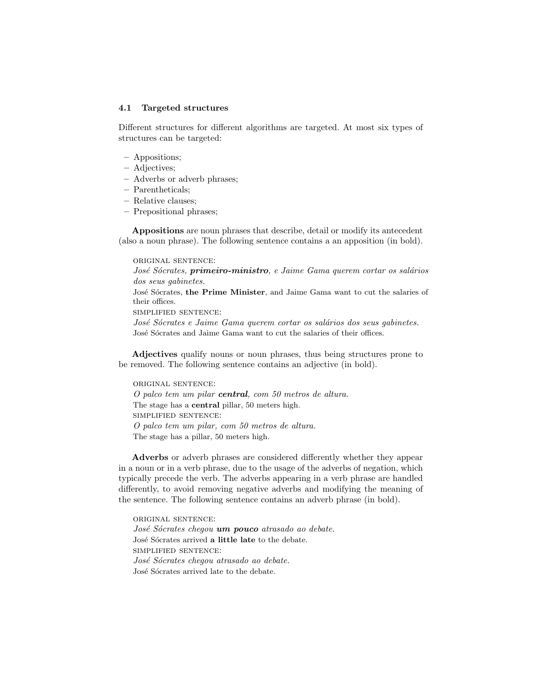#### 4.1 Targeted structures

Different structures for different algorithms are targeted. At most six types of structures can be targeted:

- Appositions;
- Adjectives;
- Adverbs or adverb phrases;
- Parentheticals;
- Relative clauses;
- Prepositional phrases;

Appositions are noun phrases that describe, detail or modify its antecedent (also a noun phrase). The following sentence contains a an apposition (in bold).

#### original sentence:

José Sócrates, primeiro-ministro, e Jaime Gama querem cortar os salários dos seus gabinetes.

José Sócrates, the Prime Minister, and Jaime Gama want to cut the salaries of their offices.

simplified sentence:

José Sócrates e Jaime Gama querem cortar os salários dos seus gabinetes. José Sócrates and Jaime Gama want to cut the salaries of their offices.

Adjectives qualify nouns or noun phrases, thus being structures prone to be removed. The following sentence contains an adjective (in bold).

original sentence: O palco tem um pilar central, com 50 metros de altura. The stage has a central pillar, 50 meters high. simplified sentence: O palco tem um pilar, com 50 metros de altura. The stage has a pillar, 50 meters high.

Adverbs or adverb phrases are considered differently whether they appear in a noun or in a verb phrase, due to the usage of the adverbs of negation, which typically precede the verb. The adverbs appearing in a verb phrase are handled differently, to avoid removing negative adverbs and modifying the meaning of the sentence. The following sentence contains an adverb phrase (in bold).

original sentence: José Sócrates chegou **um pouco** atrasado ao debate. José Sócrates arrived a little late to the debate. simplified sentence: José Sócrates chegou atrasado ao debate. José Sócrates arrived late to the debate.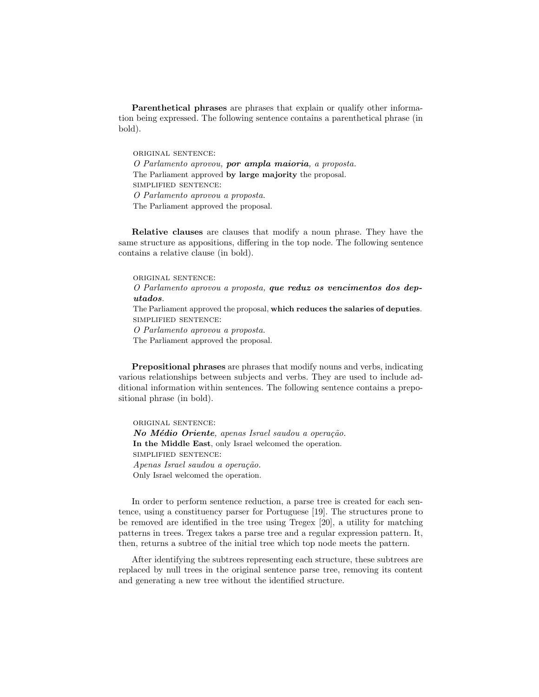Parenthetical phrases are phrases that explain or qualify other information being expressed. The following sentence contains a parenthetical phrase (in bold).

original sentence:

O Parlamento aprovou, por ampla maioria, a proposta. The Parliament approved by large majority the proposal. simplified sentence: O Parlamento aprovou a proposta. The Parliament approved the proposal.

Relative clauses are clauses that modify a noun phrase. They have the same structure as appositions, differing in the top node. The following sentence contains a relative clause (in bold).

original sentence:

O Parlamento aprovou a proposta, que reduz os vencimentos dos deputados.

The Parliament approved the proposal, which reduces the salaries of deputies. simplified sentence:

O Parlamento aprovou a proposta.

The Parliament approved the proposal.

Prepositional phrases are phrases that modify nouns and verbs, indicating various relationships between subjects and verbs. They are used to include additional information within sentences. The following sentence contains a prepositional phrase (in bold).

original sentence: No Médio Oriente, apenas Israel saudou a operação. In the Middle East, only Israel welcomed the operation. simplified sentence: Apenas Israel saudou a operação. Only Israel welcomed the operation.

In order to perform sentence reduction, a parse tree is created for each sentence, using a constituency parser for Portuguese [19]. The structures prone to be removed are identified in the tree using Tregex [20], a utility for matching patterns in trees. Tregex takes a parse tree and a regular expression pattern. It, then, returns a subtree of the initial tree which top node meets the pattern.

After identifying the subtrees representing each structure, these subtrees are replaced by null trees in the original sentence parse tree, removing its content and generating a new tree without the identified structure.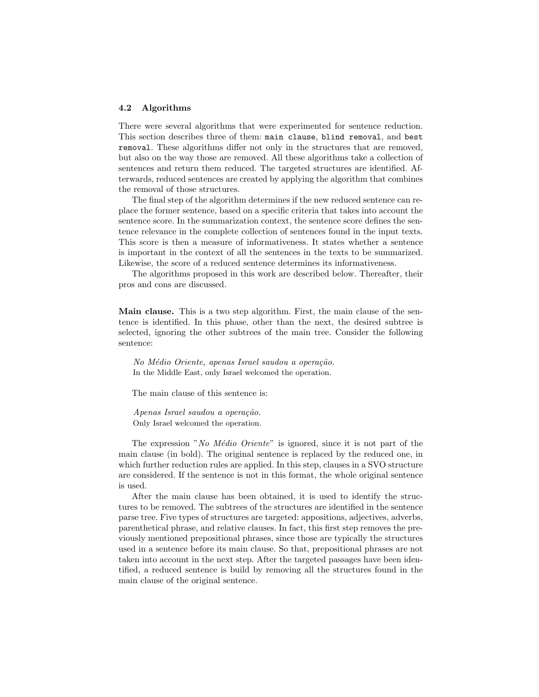#### 4.2 Algorithms

There were several algorithms that were experimented for sentence reduction. This section describes three of them: main clause, blind removal, and best removal. These algorithms differ not only in the structures that are removed, but also on the way those are removed. All these algorithms take a collection of sentences and return them reduced. The targeted structures are identified. Afterwards, reduced sentences are created by applying the algorithm that combines the removal of those structures.

The final step of the algorithm determines if the new reduced sentence can replace the former sentence, based on a specific criteria that takes into account the sentence score. In the summarization context, the sentence score defines the sentence relevance in the complete collection of sentences found in the input texts. This score is then a measure of informativeness. It states whether a sentence is important in the context of all the sentences in the texts to be summarized. Likewise, the score of a reduced sentence determines its informativeness.

The algorithms proposed in this work are described below. Thereafter, their pros and cons are discussed.

Main clause. This is a two step algorithm. First, the main clause of the sentence is identified. In this phase, other than the next, the desired subtree is selected, ignoring the other subtrees of the main tree. Consider the following sentence:

No Médio Oriente, apenas Israel saudou a operação. In the Middle East, only Israel welcomed the operation.

The main clause of this sentence is:

Apenas Israel saudou a operação. Only Israel welcomed the operation.

The expression "No Médio Oriente" is ignored, since it is not part of the main clause (in bold). The original sentence is replaced by the reduced one, in which further reduction rules are applied. In this step, clauses in a SVO structure are considered. If the sentence is not in this format, the whole original sentence is used.

After the main clause has been obtained, it is used to identify the structures to be removed. The subtrees of the structures are identified in the sentence parse tree. Five types of structures are targeted: appositions, adjectives, adverbs, parenthetical phrase, and relative clauses. In fact, this first step removes the previously mentioned prepositional phrases, since those are typically the structures used in a sentence before its main clause. So that, prepositional phrases are not taken into account in the next step. After the targeted passages have been identified, a reduced sentence is build by removing all the structures found in the main clause of the original sentence.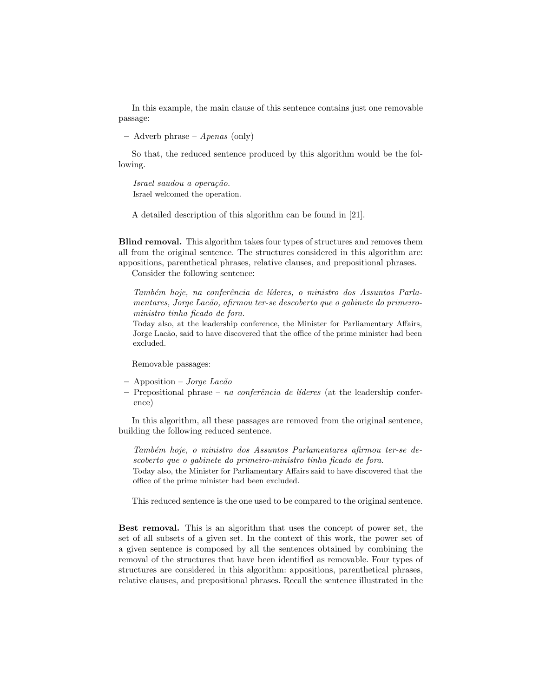In this example, the main clause of this sentence contains just one removable passage:

– Adverb phrase –  $Apenas$  (only)

So that, the reduced sentence produced by this algorithm would be the following.

Israel saudou a operação. Israel welcomed the operation.

A detailed description of this algorithm can be found in [21].

Blind removal. This algorithm takes four types of structures and removes them all from the original sentence. The structures considered in this algorithm are: appositions, parenthetical phrases, relative clauses, and prepositional phrases.

Consider the following sentence:

Também hoje, na conferência de líderes, o ministro dos Assuntos Parlamentares, Jorge Lac˜ao, afirmou ter-se descoberto que o gabinete do primeiroministro tinha ficado de fora.

Today also, at the leadership conference, the Minister for Parliamentary Affairs, Jorge Lacão, said to have discovered that the office of the prime minister had been excluded.

Removable passages:

- Apposition Jorge Lacão
- $-$  Prepositional phrase na conferência de líderes (at the leadership conference)

In this algorithm, all these passages are removed from the original sentence, building the following reduced sentence.

Também hoje, o ministro dos Assuntos Parlamentares afirmou ter-se descoberto que o gabinete do primeiro-ministro tinha ficado de fora.

Today also, the Minister for Parliamentary Affairs said to have discovered that the office of the prime minister had been excluded.

This reduced sentence is the one used to be compared to the original sentence.

Best removal. This is an algorithm that uses the concept of power set, the set of all subsets of a given set. In the context of this work, the power set of a given sentence is composed by all the sentences obtained by combining the removal of the structures that have been identified as removable. Four types of structures are considered in this algorithm: appositions, parenthetical phrases, relative clauses, and prepositional phrases. Recall the sentence illustrated in the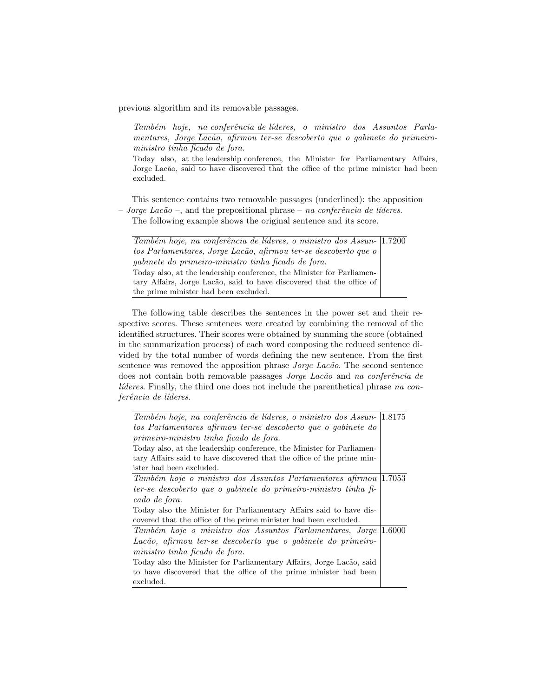previous algorithm and its removable passages.

Também hoje, na conferência de líderes, o ministro dos Assuntos Parlamentares, Jorge  $\overline{Lacão}$ , afirmou ter-se descoberto que o gabinete do primeiroministro tinha ficado de fora.

Today also, at the leadership conference, the Minister for Parliamentary Affairs, Jorge Lacão, said to have discovered that the office of the prime minister had been excluded.

This sentence contains two removable passages (underlined): the apposition – Jorge Lacão –, and the prepositional phrase – na conferência de líderes.

The following example shows the original sentence and its score.

| Também hoje, na conferência de líderes, o ministro dos Assun-   1.7200 |  |
|------------------------------------------------------------------------|--|
| tos Parlamentares, Jorge Lacão, afirmou ter-se descoberto que o        |  |
| gabinete do primeiro-ministro tinha ficado de fora.                    |  |
| Today also, at the leadership conference, the Minister for Parliamen-  |  |
| tary Affairs, Jorge Lacão, said to have discovered that the office of  |  |
| the prime minister had been excluded.                                  |  |

The following table describes the sentences in the power set and their respective scores. These sentences were created by combining the removal of the identified structures. Their scores were obtained by summing the score (obtained in the summarization process) of each word composing the reduced sentence divided by the total number of words defining the new sentence. From the first sentence was removed the apposition phrase *Jorge Lacão*. The second sentence does not contain both removable passages Jorge Lacão and na conferência de  $lideres.$  Finally, the third one does not include the parenthetical phrase na conferência de líderes.

| Também hoje, na conferência de líderes, o ministro dos Assun-   1.8175 |  |
|------------------------------------------------------------------------|--|
| tos Parlamentares afirmou ter-se descoberto que o gabinete do          |  |
| primeiro-ministro tinha ficado de fora.                                |  |
| Today also, at the leadership conference, the Minister for Parliamen-  |  |
| tary Affairs said to have discovered that the office of the prime min- |  |
| ister had been excluded.                                               |  |
| Também hoje o ministro dos Assuntos Parlamentares afirmou (1.7053)     |  |
| ter-se descoberto que o gabinete do primeiro-ministro tinha fi-        |  |
| cado de fora.                                                          |  |
| Today also the Minister for Parliamentary Affairs said to have dis-    |  |
| covered that the office of the prime minister had been excluded.       |  |
| Também hoje o ministro dos Assuntos Parlamentares, Jorge (1.6000)      |  |
| Lacão, afirmou ter-se descoberto que o gabinete do primeiro-           |  |
| ministro tinha ficado de fora.                                         |  |
| Today also the Minister for Parliamentary Affairs, Jorge Lacão, said   |  |
| to have discovered that the office of the prime minister had been      |  |
| excluded.                                                              |  |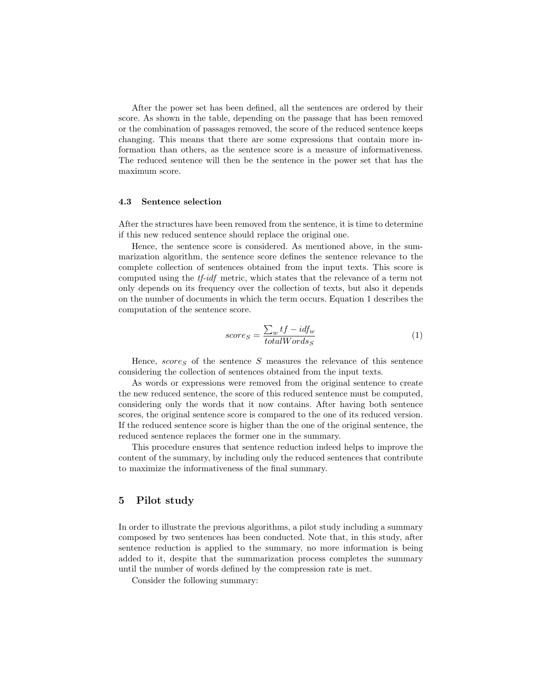After the power set has been defined, all the sentences are ordered by their score. As shown in the table, depending on the passage that has been removed or the combination of passages removed, the score of the reduced sentence keeps changing. This means that there are some expressions that contain more information than others, as the sentence score is a measure of informativeness. The reduced sentence will then be the sentence in the power set that has the maximum score.

#### 4.3 Sentence selection

After the structures have been removed from the sentence, it is time to determine if this new reduced sentence should replace the original one.

Hence, the sentence score is considered. As mentioned above, in the summarization algorithm, the sentence score defines the sentence relevance to the complete collection of sentences obtained from the input texts. This score is computed using the tf-idf metric, which states that the relevance of a term not only depends on its frequency over the collection of texts, but also it depends on the number of documents in which the term occurs. Equation 1 describes the computation of the sentence score.

$$
score_S = \frac{\sum_w tf - idf_w}{totalWords_S} \tag{1}
$$

Hence,  $score_S$  of the sentence S measures the relevance of this sentence considering the collection of sentences obtained from the input texts.

As words or expressions were removed from the original sentence to create the new reduced sentence, the score of this reduced sentence must be computed, considering only the words that it now contains. After having both sentence scores, the original sentence score is compared to the one of its reduced version. If the reduced sentence score is higher than the one of the original sentence, the reduced sentence replaces the former one in the summary.

This procedure ensures that sentence reduction indeed helps to improve the content of the summary, by including only the reduced sentences that contribute to maximize the informativeness of the final summary.

## 5 Pilot study

In order to illustrate the previous algorithms, a pilot study including a summary composed by two sentences has been conducted. Note that, in this study, after sentence reduction is applied to the summary, no more information is being added to it, despite that the summarization process completes the summary until the number of words defined by the compression rate is met.

Consider the following summary: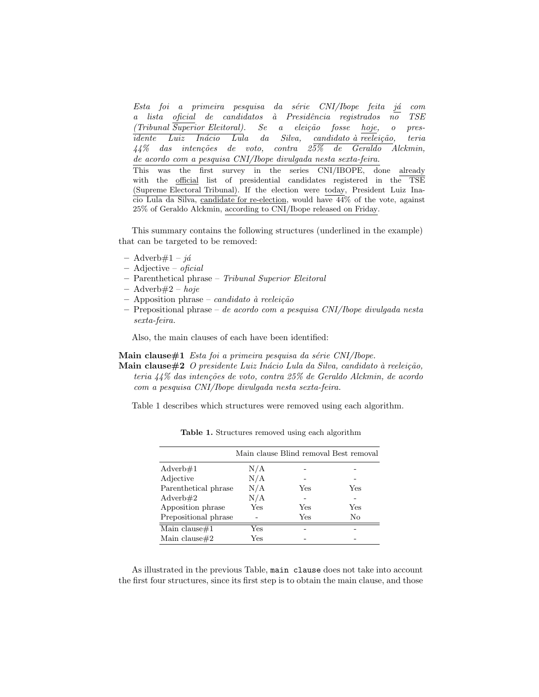Esta foi a primeira pesquisa da série CNI/Ibope feita já com a lista oficial de candidatos `a Presidˆencia registrados no TSE  $(Tribunal Superior Eleitoral).$  Se a eleição fosse hoje, o pres- $\overline{idente}$  Luiz Inácio Lula da Silva, candidato à  $\overline{reelei}$ ção, teria  $44\%$  das intenções de voto, contra 25% de Geraldo Alckmin, de acordo com a pesquisa CNI/Ibope divulgada nesta sexta-feira.

This was the first survey in the series CNI/IBOPE, done already with the official list of presidential candidates registered in the TSE (Supreme Electoral Tribunal). If the election were today, President Luiz Inacio Lula da Silva, candidate for re-election, would have 44% of the vote, against 25% of Geraldo Alckmin, according to CNI/Ibope released on Friday.

This summary contains the following structures (underlined in the example) that can be targeted to be removed:

- Adverb $\#1 i\acute{a}$
- $-$  Adjective  $-$  oficial
- Parenthetical phrase Tribunal Superior Eleitoral
- $–$  Adverb $#2 h$ oje
- $-$  Apposition phrase *candidato* à reeleição
- $-$  Prepositional phrase  $-$  de acordo com a pesquisa CNI/Ibope divulgada nesta sexta-feira.

Also, the main clauses of each have been identified:

Main clause $#1$  Esta foi a primeira pesquisa da série CNI/Ibope.

Main clause $#2$  O presidente Luiz Inácio Lula da Silva, candidato à reeleição, teria  $44\%$  das intenções de voto, contra  $25\%$  de Geraldo Alckmin, de acordo com a pesquisa CNI/Ibope divulgada nesta sexta-feira.

Table 1 describes which structures were removed using each algorithm.

|                      |     | Main clause Blind removal Best removal |     |
|----------------------|-----|----------------------------------------|-----|
| Adverb $#1$          | N/A |                                        |     |
| Adjective            | N/A |                                        |     |
| Parenthetical phrase | N/A | Yes                                    | Yes |
| Adverb $#2$          | N/A |                                        |     |
| Apposition phrase    | Yes | Yes                                    | Yes |
| Prepositional phrase |     | Yes                                    | No  |
| Main clause#1        | Yes |                                        |     |
| Main clause#2        | Yes |                                        |     |

Table 1. Structures removed using each algorithm

As illustrated in the previous Table, main clause does not take into account the first four structures, since its first step is to obtain the main clause, and those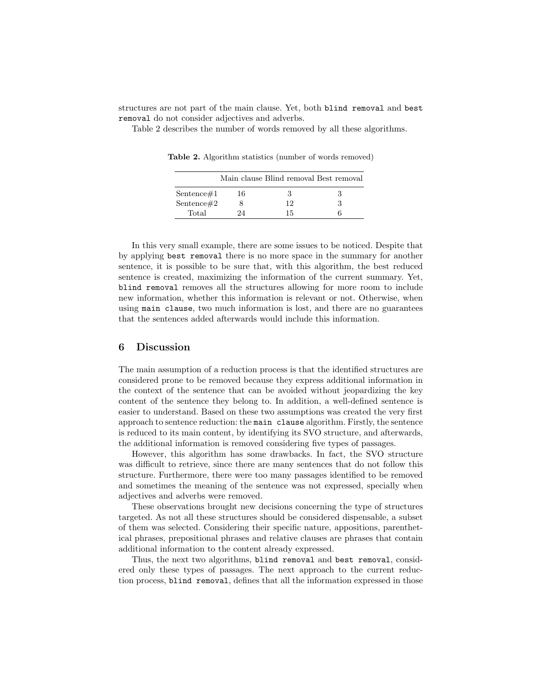structures are not part of the main clause. Yet, both blind removal and best removal do not consider adjectives and adverbs.

Table 2 describes the number of words removed by all these algorithms.

|            |    | Main clause Blind removal Best removal |  |
|------------|----|----------------------------------------|--|
| Sentence#1 | 16 |                                        |  |
| Sentence#2 |    | 12                                     |  |
| Total      | 24 | 15                                     |  |

Table 2. Algorithm statistics (number of words removed)

In this very small example, there are some issues to be noticed. Despite that by applying best removal there is no more space in the summary for another sentence, it is possible to be sure that, with this algorithm, the best reduced sentence is created, maximizing the information of the current summary. Yet, blind removal removes all the structures allowing for more room to include new information, whether this information is relevant or not. Otherwise, when using main clause, two much information is lost, and there are no guarantees that the sentences added afterwards would include this information.

## 6 Discussion

The main assumption of a reduction process is that the identified structures are considered prone to be removed because they express additional information in the context of the sentence that can be avoided without jeopardizing the key content of the sentence they belong to. In addition, a well-defined sentence is easier to understand. Based on these two assumptions was created the very first approach to sentence reduction: the main clause algorithm. Firstly, the sentence is reduced to its main content, by identifying its SVO structure, and afterwards, the additional information is removed considering five types of passages.

However, this algorithm has some drawbacks. In fact, the SVO structure was difficult to retrieve, since there are many sentences that do not follow this structure. Furthermore, there were too many passages identified to be removed and sometimes the meaning of the sentence was not expressed, specially when adjectives and adverbs were removed.

These observations brought new decisions concerning the type of structures targeted. As not all these structures should be considered dispensable, a subset of them was selected. Considering their specific nature, appositions, parenthetical phrases, prepositional phrases and relative clauses are phrases that contain additional information to the content already expressed.

Thus, the next two algorithms, blind removal and best removal, considered only these types of passages. The next approach to the current reduction process, blind removal, defines that all the information expressed in those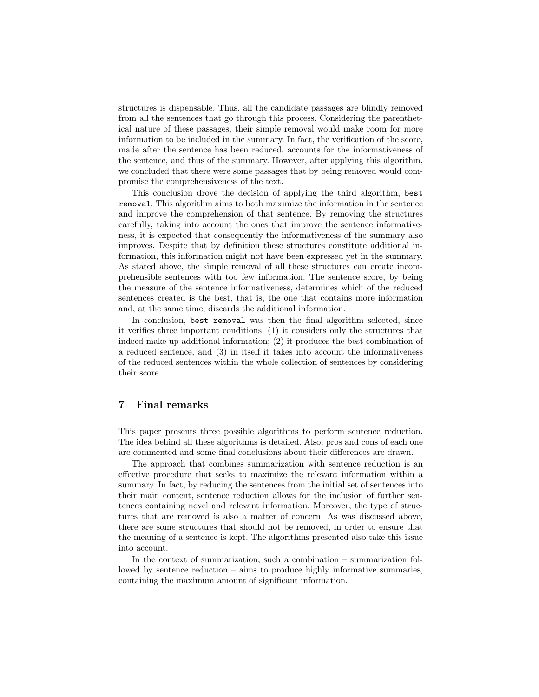structures is dispensable. Thus, all the candidate passages are blindly removed from all the sentences that go through this process. Considering the parenthetical nature of these passages, their simple removal would make room for more information to be included in the summary. In fact, the verification of the score, made after the sentence has been reduced, accounts for the informativeness of the sentence, and thus of the summary. However, after applying this algorithm, we concluded that there were some passages that by being removed would compromise the comprehensiveness of the text.

This conclusion drove the decision of applying the third algorithm, best removal. This algorithm aims to both maximize the information in the sentence and improve the comprehension of that sentence. By removing the structures carefully, taking into account the ones that improve the sentence informativeness, it is expected that consequently the informativeness of the summary also improves. Despite that by definition these structures constitute additional information, this information might not have been expressed yet in the summary. As stated above, the simple removal of all these structures can create incomprehensible sentences with too few information. The sentence score, by being the measure of the sentence informativeness, determines which of the reduced sentences created is the best, that is, the one that contains more information and, at the same time, discards the additional information.

In conclusion, best removal was then the final algorithm selected, since it verifies three important conditions: (1) it considers only the structures that indeed make up additional information; (2) it produces the best combination of a reduced sentence, and (3) in itself it takes into account the informativeness of the reduced sentences within the whole collection of sentences by considering their score.

# 7 Final remarks

This paper presents three possible algorithms to perform sentence reduction. The idea behind all these algorithms is detailed. Also, pros and cons of each one are commented and some final conclusions about their differences are drawn.

The approach that combines summarization with sentence reduction is an effective procedure that seeks to maximize the relevant information within a summary. In fact, by reducing the sentences from the initial set of sentences into their main content, sentence reduction allows for the inclusion of further sentences containing novel and relevant information. Moreover, the type of structures that are removed is also a matter of concern. As was discussed above, there are some structures that should not be removed, in order to ensure that the meaning of a sentence is kept. The algorithms presented also take this issue into account.

In the context of summarization, such a combination – summarization followed by sentence reduction – aims to produce highly informative summaries, containing the maximum amount of significant information.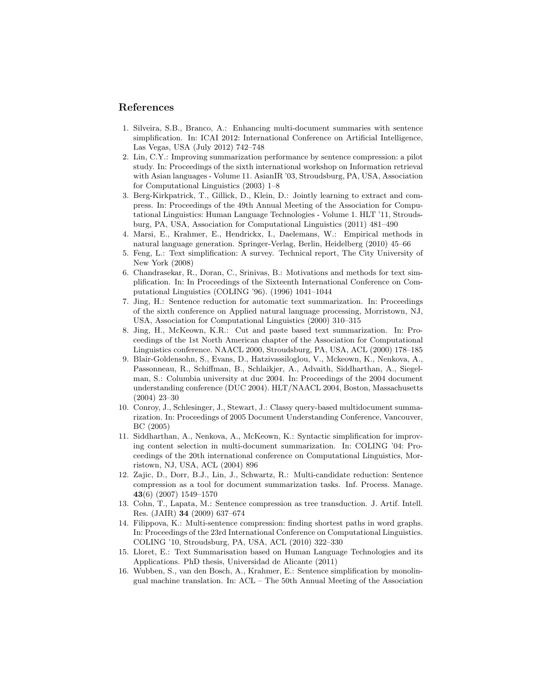# References

- 1. Silveira, S.B., Branco, A.: Enhancing multi-document summaries with sentence simplification. In: ICAI 2012: International Conference on Artificial Intelligence, Las Vegas, USA (July 2012) 742–748
- 2. Lin, C.Y.: Improving summarization performance by sentence compression: a pilot study. In: Proceedings of the sixth international workshop on Information retrieval with Asian languages - Volume 11. AsianIR '03, Stroudsburg, PA, USA, Association for Computational Linguistics (2003) 1–8
- 3. Berg-Kirkpatrick, T., Gillick, D., Klein, D.: Jointly learning to extract and compress. In: Proceedings of the 49th Annual Meeting of the Association for Computational Linguistics: Human Language Technologies - Volume 1. HLT '11, Stroudsburg, PA, USA, Association for Computational Linguistics (2011) 481–490
- 4. Marsi, E., Krahmer, E., Hendrickx, I., Daelemans, W.: Empirical methods in natural language generation. Springer-Verlag, Berlin, Heidelberg (2010) 45–66
- 5. Feng, L.: Text simplification: A survey. Technical report, The City University of New York (2008)
- 6. Chandrasekar, R., Doran, C., Srinivas, B.: Motivations and methods for text simplification. In: In Proceedings of the Sixteenth International Conference on Computational Linguistics (COLING '96). (1996) 1041–1044
- 7. Jing, H.: Sentence reduction for automatic text summarization. In: Proceedings of the sixth conference on Applied natural language processing, Morristown, NJ, USA, Association for Computational Linguistics (2000) 310–315
- 8. Jing, H., McKeown, K.R.: Cut and paste based text summarization. In: Proceedings of the 1st North American chapter of the Association for Computational Linguistics conference. NAACL 2000, Stroudsburg, PA, USA, ACL (2000) 178–185
- 9. Blair-Goldensohn, S., Evans, D., Hatzivassiloglou, V., Mckeown, K., Nenkova, A., Passonneau, R., Schiffman, B., Schlaikjer, A., Advaith, Siddharthan, A., Siegelman, S.: Columbia university at duc 2004. In: Proceedings of the 2004 document understanding conference (DUC 2004). HLT/NAACL 2004, Boston, Massachusetts (2004) 23–30
- 10. Conroy, J., Schlesinger, J., Stewart, J.: Classy query-based multidocument summarization. In: Proceedings of 2005 Document Understanding Conference, Vancouver, BC (2005)
- 11. Siddharthan, A., Nenkova, A., McKeown, K.: Syntactic simplification for improving content selection in multi-document summarization. In: COLING '04: Proceedings of the 20th international conference on Computational Linguistics, Morristown, NJ, USA, ACL (2004) 896
- 12. Zajic, D., Dorr, B.J., Lin, J., Schwartz, R.: Multi-candidate reduction: Sentence compression as a tool for document summarization tasks. Inf. Process. Manage. 43(6) (2007) 1549–1570
- 13. Cohn, T., Lapata, M.: Sentence compression as tree transduction. J. Artif. Intell. Res. (JAIR) 34 (2009) 637–674
- 14. Filippova, K.: Multi-sentence compression: finding shortest paths in word graphs. In: Proceedings of the 23rd International Conference on Computational Linguistics. COLING '10, Stroudsburg, PA, USA, ACL (2010) 322–330
- 15. Lloret, E.: Text Summarisation based on Human Language Technologies and its Applications. PhD thesis, Universidad de Alicante (2011)
- 16. Wubben, S., van den Bosch, A., Krahmer, E.: Sentence simplification by monolingual machine translation. In: ACL – The 50th Annual Meeting of the Association